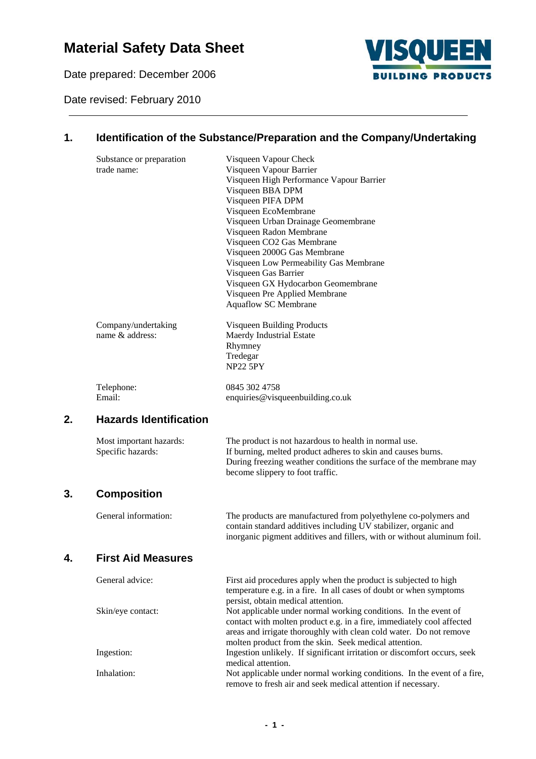# **Material Safety Data Sheet**

Date prepared: December 2006

Date revised: February 2010



## **1. Identification of the Substance/Preparation and the Company/Undertaking**

|    | Substance or preparation      | Visqueen Vapour Check                                                                                 |
|----|-------------------------------|-------------------------------------------------------------------------------------------------------|
|    | trade name:                   | Visqueen Vapour Barrier<br>Visqueen High Performance Vapour Barrier                                   |
|    |                               | Visqueen BBA DPM                                                                                      |
|    |                               | Visqueen PIFA DPM                                                                                     |
|    |                               | Visqueen EcoMembrane                                                                                  |
|    |                               | Visqueen Urban Drainage Geomembrane                                                                   |
|    |                               | Visqueen Radon Membrane                                                                               |
|    |                               | Visqueen CO2 Gas Membrane<br>Visqueen 2000G Gas Membrane                                              |
|    |                               | Visqueen Low Permeability Gas Membrane                                                                |
|    |                               | Visqueen Gas Barrier                                                                                  |
|    |                               | Visqueen GX Hydocarbon Geomembrane                                                                    |
|    |                               | Visqueen Pre Applied Membrane                                                                         |
|    |                               | Aquaflow SC Membrane                                                                                  |
|    | Company/undertaking           | Visqueen Building Products                                                                            |
|    | name & address:               | Maerdy Industrial Estate                                                                              |
|    |                               | Rhymney                                                                                               |
|    |                               | Tredegar                                                                                              |
|    |                               | <b>NP22 5PY</b>                                                                                       |
|    | Telephone:                    | 0845 302 4758                                                                                         |
|    | Email:                        | enquiries@visqueenbuilding.co.uk                                                                      |
| 2. | <b>Hazards Identification</b> |                                                                                                       |
|    | Most important hazards:       | The product is not hazardous to health in normal use.                                                 |
|    | Specific hazards:             | If burning, melted product adheres to skin and causes burns.                                          |
|    |                               | During freezing weather conditions the surface of the membrane may                                    |
|    |                               | become slippery to foot traffic.                                                                      |
| 3. | <b>Composition</b>            |                                                                                                       |
|    | General information:          | The products are manufactured from polyethylene co-polymers and                                       |
|    |                               | contain standard additives including UV stabilizer, organic and                                       |
|    |                               | inorganic pigment additives and fillers, with or without aluminum foil.                               |
| 4  | <b>First Aid Measures</b>     |                                                                                                       |
|    | General advice:               | First aid procedures apply when the product is subjected to high                                      |
|    |                               | temperature e.g. in a fire. In all cases of doubt or when symptoms                                    |
|    | Skin/eye contact:             | persist, obtain medical attention.<br>Not applicable under normal working conditions. In the event of |
|    |                               | contact with molten product e.g. in a fire, immediately cool affected                                 |
|    |                               | areas and irrigate thoroughly with clean cold water. Do not remove                                    |
|    |                               | molten product from the skin. Seek medical attention.                                                 |
|    | Ingestion:                    | Ingestion unlikely. If significant irritation or discomfort occurs, seek                              |
|    |                               | medical attention.                                                                                    |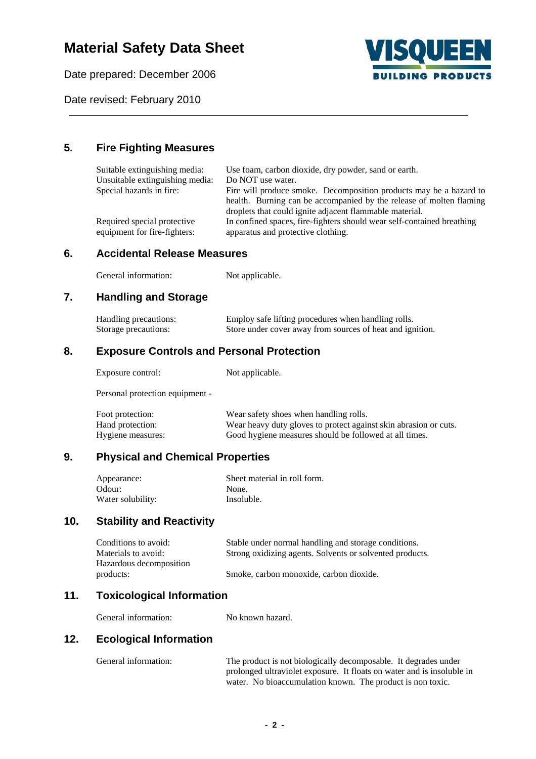# **Material Safety Data Sheet**

Date prepared: December 2006



Date revised: February 2010

## **5. Fire Fighting Measures**

| Suitable extinguishing media:<br>Unsuitable extinguishing media: | Use foam, carbon dioxide, dry powder, sand or earth.<br>Do NOT use water.                                                                                               |
|------------------------------------------------------------------|-------------------------------------------------------------------------------------------------------------------------------------------------------------------------|
| Special hazards in fire:                                         | Fire will produce smoke. Decomposition products may be a hazard to<br>health. Burning can be accompanied by the release of molten flaming                               |
| Required special protective<br>equipment for fire-fighters:      | droplets that could ignite adjacent flammable material.<br>In confined spaces, fire-fighters should wear self-contained breathing<br>apparatus and protective clothing. |

## **6. Accidental Release Measures**

| General information: | Not applicable. |
|----------------------|-----------------|
|----------------------|-----------------|

## **7. Handling and Storage**

| Handling precautions: | Employ safe lifting procedures when handling rolls.       |
|-----------------------|-----------------------------------------------------------|
| Storage precautions:  | Store under cover away from sources of heat and ignition. |

## **8. Exposure Controls and Personal Protection**

Exposure control: Not applicable.

Personal protection equipment -

| Foot protection:  | Wear safety shoes when handling rolls.                           |
|-------------------|------------------------------------------------------------------|
| Hand protection:  | Wear heavy duty gloves to protect against skin abrasion or cuts. |
| Hygiene measures: | Good hygiene measures should be followed at all times.           |

## **9. Physical and Chemical Properties**

| Appearance:       | Sheet material in roll form. |
|-------------------|------------------------------|
| Odour:            | None.                        |
| Water solubility: | Insoluble.                   |

### **10. Stability and Reactivity**

| Conditions to avoid:    | Stable under normal handling and storage conditions.     |
|-------------------------|----------------------------------------------------------|
| Materials to avoid:     | Strong oxidizing agents. Solvents or solvented products. |
| Hazardous decomposition |                                                          |
| products:               | Smoke, carbon monoxide, carbon dioxide.                  |

### **11. Toxicological Information**

General information: No known hazard.

#### **12. Ecological Information**

| General information: | The product is not biologically decomposable. It degrades under        |
|----------------------|------------------------------------------------------------------------|
|                      | prolonged ultraviolet exposure. It floats on water and is insoluble in |
|                      | water. No bioaccumulation known. The product is non toxic.             |